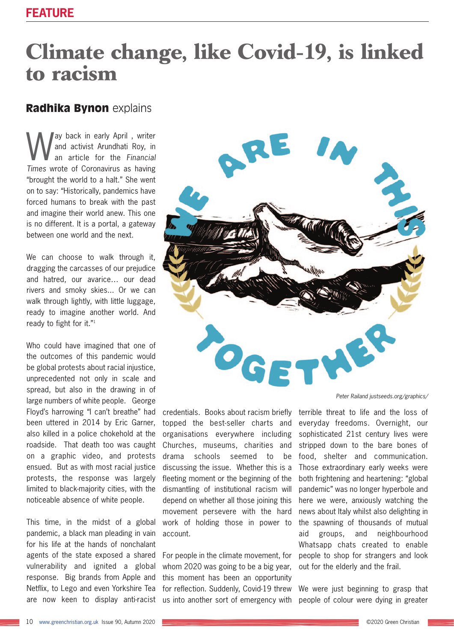## **Climate change, like Covid-19, is linked to racism**

## **Radhika Bynon** explains

Way back in early April, writer<br>and activist Arundhati Roy, in<br>Times weeks of Comparison as beginned and activist Arundhati Roy, in an article for the *Financial Times* wrote of Coronavirus as having "brought the world to a halt." She went on to say: "Historically, pandemics have forced humans to break with the past and imagine their world anew. This one is no different. It is a portal, a gateway between one world and the next.

We can choose to walk through it. dragging the carcasses of our prejudice and hatred, our avarice… our dead rivers and smoky skies... Or we can walk through lightly, with little luggage, ready to imagine another world. And ready to fight for it."<sup>1</sup>

Who could have imagined that one of the outcomes of this pandemic would be global protests about racial injustice, unprecedented not only in scale and spread, but also in the drawing in of large numbers of white people. George Floyd's harrowing "I can't breathe" had been uttered in 2014 by Eric Garner, also killed in a police chokehold at the roadside. That death too was caught on a graphic video, and protests ensued. But as with most racial justice protests, the response was largely limited to black-majority cities, with the noticeable absence of white people.

This time, in the midst of a global pandemic, a black man pleading in vain for his life at the hands of nonchalant agents of the state exposed a shared vulnerability and ignited a global response. Big brands from Apple and Netflix, to Lego and even Yorkshire Tea are now keen to display anti-racist



credentials. Books about racism briefly topped the best-seller charts and organisations everywhere including Churches, museums, charities and drama schools seemed to be discussing the issue. Whether this is a fleeting moment or the beginning of the dismantling of institutional racism will depend on whether all those joining this movement persevere with the hard work of holding those in power to account.

For people in the climate movement, for whom 2020 was going to be a big year, this moment has been an opportunity for reflection. Suddenly, Covid-19 threw us into another sort of emergency with

*Peter Railand justseeds.org/graphics/*

terrible threat to life and the loss of everyday freedoms. Overnight, our sophisticated 21st century lives were stripped down to the bare bones of food, shelter and communication. Those extraordinary early weeks were both frightening and heartening: "global pandemic" was no longer hyperbole and here we were, anxiously watching the news about Italy whilst also delighting in the spawning of thousands of mutual aid groups, and neighbourhood Whatsapp chats created to enable people to shop for strangers and look out for the elderly and the frail.

We were just beginning to grasp that people of colour were dying in greater